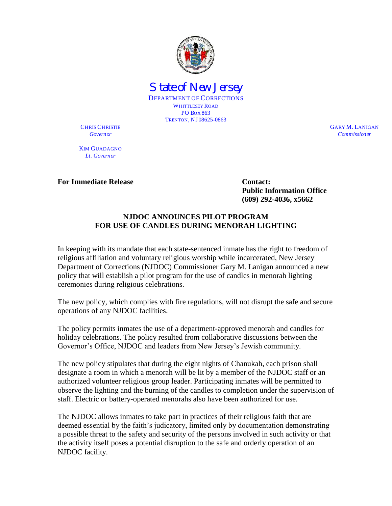

State of New Jersey DEPARTMENT OF CORRECTIONS WHITTLESEY ROAD PO BOX 863 TRENTON, NJ 08625-0863

CHRIS CHRISTIE GARY M. LANIGAN *Governor Commissioner*

KIM GUADAGNO *Lt. Governor*

**For Immediate Release Contact: Contact:** 

**Public Information Office (609) 292-4036, x5662**

## **NJDOC ANNOUNCES PILOT PROGRAM FOR USE OF CANDLES DURING MENORAH LIGHTING**

In keeping with its mandate that each state-sentenced inmate has the right to freedom of religious affiliation and voluntary religious worship while incarcerated, New Jersey Department of Corrections (NJDOC) Commissioner Gary M. Lanigan announced a new policy that will establish a pilot program for the use of candles in menorah lighting ceremonies during religious celebrations.

The new policy, which complies with fire regulations, will not disrupt the safe and secure operations of any NJDOC facilities.

The policy permits inmates the use of a department-approved menorah and candles for holiday celebrations. The policy resulted from collaborative discussions between the Governor's Office, NJDOC and leaders from New Jersey's Jewish community.

The new policy stipulates that during the eight nights of Chanukah, each prison shall designate a room in which a menorah will be lit by a member of the NJDOC staff or an authorized volunteer religious group leader. Participating inmates will be permitted to observe the lighting and the burning of the candles to completion under the supervision of staff. Electric or battery-operated menorahs also have been authorized for use.

The NJDOC allows inmates to take part in practices of their religious faith that are deemed essential by the faith's judicatory, limited only by documentation demonstrating a possible threat to the safety and security of the persons involved in such activity or that the activity itself poses a potential disruption to the safe and orderly operation of an NJDOC facility.